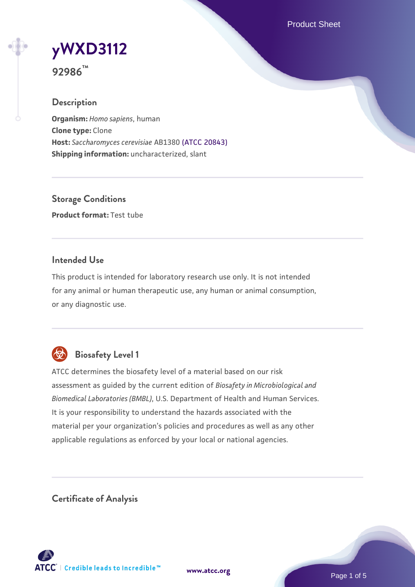Product Sheet

# **[yWXD3112](https://www.atcc.org/products/92986)**

**92986™**

# **Description**

**Organism:** *Homo sapiens*, human **Clone type:** Clone **Host:** *Saccharomyces cerevisiae* AB1380 [\(ATCC 20843\)](https://www.atcc.org/products/20843) **Shipping information:** uncharacterized, slant

**Storage Conditions Product format:** Test tube

# **Intended Use**

This product is intended for laboratory research use only. It is not intended for any animal or human therapeutic use, any human or animal consumption, or any diagnostic use.



# **Biosafety Level 1**

ATCC determines the biosafety level of a material based on our risk assessment as guided by the current edition of *Biosafety in Microbiological and Biomedical Laboratories (BMBL)*, U.S. Department of Health and Human Services. It is your responsibility to understand the hazards associated with the material per your organization's policies and procedures as well as any other applicable regulations as enforced by your local or national agencies.

**Certificate of Analysis**

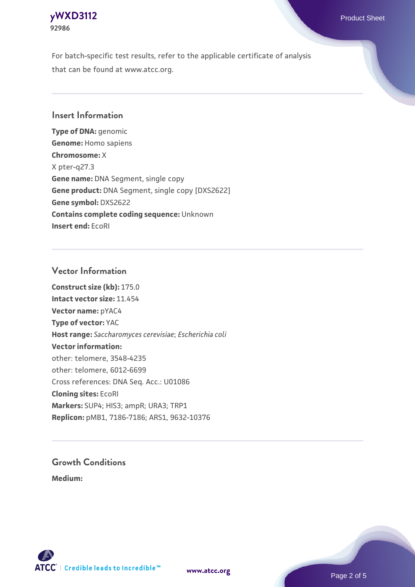## **[yWXD3112](https://www.atcc.org/products/92986)** Product Sheet **92986**

For batch-specific test results, refer to the applicable certificate of analysis that can be found at www.atcc.org.

# **Insert Information**

**Type of DNA:** genomic **Genome:** Homo sapiens **Chromosome:** X X pter-q27.3 **Gene name:** DNA Segment, single copy **Gene product:** DNA Segment, single copy [DXS2622] **Gene symbol:** DXS2622 **Contains complete coding sequence:** Unknown **Insert end:** EcoRI

# **Vector Information**

**Construct size (kb):** 175.0 **Intact vector size:** 11.454 **Vector name:** pYAC4 **Type of vector:** YAC **Host range:** *Saccharomyces cerevisiae*; *Escherichia coli* **Vector information:** other: telomere, 3548-4235 other: telomere, 6012-6699 Cross references: DNA Seq. Acc.: U01086 **Cloning sites:** EcoRI **Markers:** SUP4; HIS3; ampR; URA3; TRP1 **Replicon:** pMB1, 7186-7186; ARS1, 9632-10376

# **Growth Conditions**

**Medium:** 



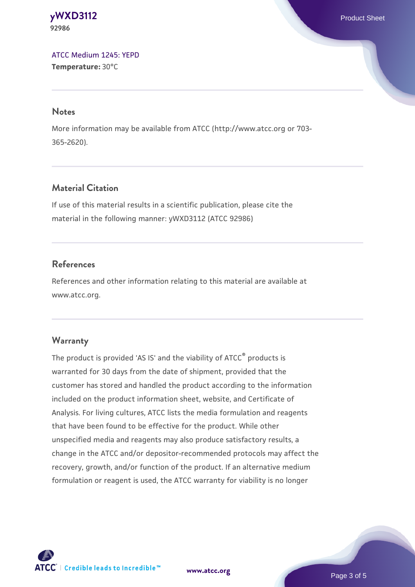#### **[yWXD3112](https://www.atcc.org/products/92986)** Product Sheet **92986**

[ATCC Medium 1245: YEPD](https://www.atcc.org/-/media/product-assets/documents/microbial-media-formulations/1/2/4/5/atcc-medium-1245.pdf?rev=705ca55d1b6f490a808a965d5c072196) **Temperature:** 30°C

#### **Notes**

More information may be available from ATCC (http://www.atcc.org or 703- 365-2620).

# **Material Citation**

If use of this material results in a scientific publication, please cite the material in the following manner: yWXD3112 (ATCC 92986)

# **References**

References and other information relating to this material are available at www.atcc.org.

# **Warranty**

The product is provided 'AS IS' and the viability of ATCC® products is warranted for 30 days from the date of shipment, provided that the customer has stored and handled the product according to the information included on the product information sheet, website, and Certificate of Analysis. For living cultures, ATCC lists the media formulation and reagents that have been found to be effective for the product. While other unspecified media and reagents may also produce satisfactory results, a change in the ATCC and/or depositor-recommended protocols may affect the recovery, growth, and/or function of the product. If an alternative medium formulation or reagent is used, the ATCC warranty for viability is no longer

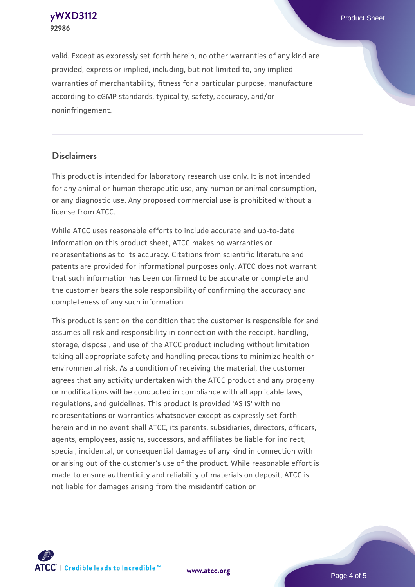**[yWXD3112](https://www.atcc.org/products/92986)** Product Sheet **92986**

valid. Except as expressly set forth herein, no other warranties of any kind are provided, express or implied, including, but not limited to, any implied warranties of merchantability, fitness for a particular purpose, manufacture according to cGMP standards, typicality, safety, accuracy, and/or noninfringement.

#### **Disclaimers**

This product is intended for laboratory research use only. It is not intended for any animal or human therapeutic use, any human or animal consumption, or any diagnostic use. Any proposed commercial use is prohibited without a license from ATCC.

While ATCC uses reasonable efforts to include accurate and up-to-date information on this product sheet, ATCC makes no warranties or representations as to its accuracy. Citations from scientific literature and patents are provided for informational purposes only. ATCC does not warrant that such information has been confirmed to be accurate or complete and the customer bears the sole responsibility of confirming the accuracy and completeness of any such information.

This product is sent on the condition that the customer is responsible for and assumes all risk and responsibility in connection with the receipt, handling, storage, disposal, and use of the ATCC product including without limitation taking all appropriate safety and handling precautions to minimize health or environmental risk. As a condition of receiving the material, the customer agrees that any activity undertaken with the ATCC product and any progeny or modifications will be conducted in compliance with all applicable laws, regulations, and guidelines. This product is provided 'AS IS' with no representations or warranties whatsoever except as expressly set forth herein and in no event shall ATCC, its parents, subsidiaries, directors, officers, agents, employees, assigns, successors, and affiliates be liable for indirect, special, incidental, or consequential damages of any kind in connection with or arising out of the customer's use of the product. While reasonable effort is made to ensure authenticity and reliability of materials on deposit, ATCC is not liable for damages arising from the misidentification or



**[www.atcc.org](http://www.atcc.org)**

Page 4 of 5